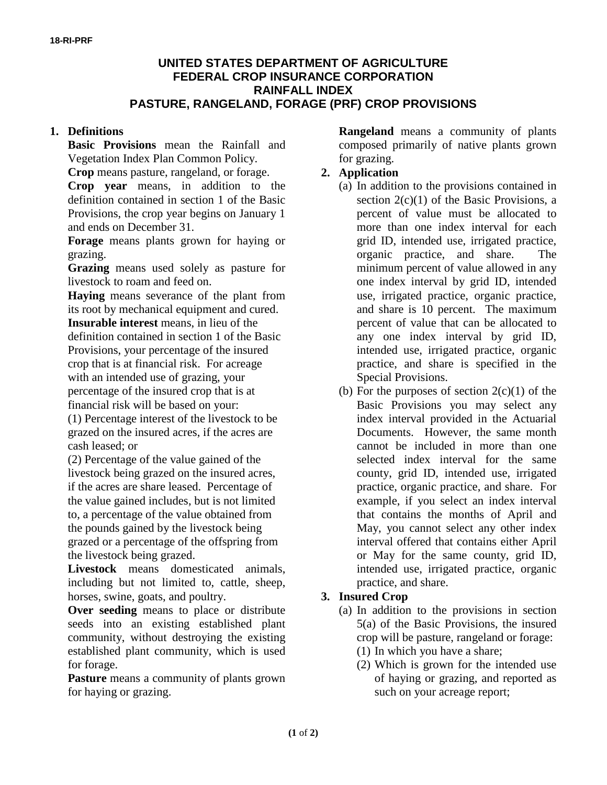### **UNITED STATES DEPARTMENT OF AGRICULTURE FEDERAL CROP INSURANCE CORPORATION RAINFALL INDEX PASTURE, RANGELAND, FORAGE (PRF) CROP PROVISIONS**

### **1. Definitions**

**Basic Provisions** mean the Rainfall and Vegetation Index Plan Common Policy.

**Crop** means pasture, rangeland, or forage.

**Crop year** means, in addition to the definition contained in section 1 of the Basic Provisions, the crop year begins on January 1 and ends on December 31.

**Forage** means plants grown for haying or grazing.

**Grazing** means used solely as pasture for livestock to roam and feed on.

**Haying** means severance of the plant from its root by mechanical equipment and cured. **Insurable interest** means, in lieu of the definition contained in section 1 of the Basic Provisions, your percentage of the insured crop that is at financial risk. For acreage with an intended use of grazing, your percentage of the insured crop that is at financial risk will be based on your:

(1) Percentage interest of the livestock to be grazed on the insured acres, if the acres are cash leased; or

(2) Percentage of the value gained of the livestock being grazed on the insured acres, if the acres are share leased. Percentage of the value gained includes, but is not limited to, a percentage of the value obtained from the pounds gained by the livestock being grazed or a percentage of the offspring from the livestock being grazed.

**Livestock** means domesticated animals, including but not limited to, cattle, sheep, horses, swine, goats, and poultry.

**Over seeding** means to place or distribute seeds into an existing established plant community, without destroying the existing established plant community, which is used for forage.

Pasture means a community of plants grown for haying or grazing.

**Rangeland** means a community of plants composed primarily of native plants grown for grazing.

## **2. Application**

- (a) In addition to the provisions contained in section  $2(c)(1)$  of the Basic Provisions, a percent of value must be allocated to more than one index interval for each grid ID, intended use, irrigated practice, organic practice, and share. The minimum percent of value allowed in any one index interval by grid ID, intended use, irrigated practice, organic practice, and share is 10 percent. The maximum percent of value that can be allocated to any one index interval by grid ID, intended use, irrigated practice, organic practice, and share is specified in the Special Provisions.
- (b) For the purposes of section  $2(c)(1)$  of the Basic Provisions you may select any index interval provided in the Actuarial Documents. However, the same month cannot be included in more than one selected index interval for the same county, grid ID, intended use, irrigated practice, organic practice, and share. For example, if you select an index interval that contains the months of April and May, you cannot select any other index interval offered that contains either April or May for the same county, grid ID, intended use, irrigated practice, organic practice, and share.

# **3. Insured Crop**

- (a) In addition to the provisions in section 5(a) of the Basic Provisions, the insured crop will be pasture, rangeland or forage: (1) In which you have a share;
	- (2) Which is grown for the intended use of haying or grazing, and reported as such on your acreage report;